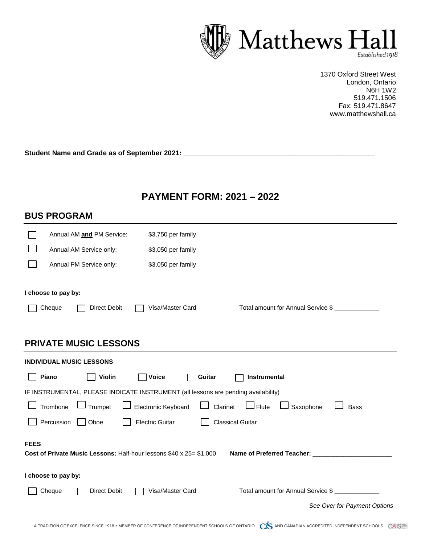

 1370 Oxford Street West London, Ontario N6H 1W2 519.471.1506 Fax: 519.471.8647 www.matthewshall.ca

**Student Name and Grade as of September 2021: \_\_\_\_\_\_\_\_\_\_\_\_\_\_\_\_\_\_\_\_\_\_\_\_\_\_\_\_\_\_\_\_\_\_\_\_\_\_\_\_\_\_\_\_\_\_\_\_\_\_**

## **PAYMENT FORM: 2021 – 2022**

| <b>BUS PROGRAM</b>                                                                                             |                              |  |  |  |  |
|----------------------------------------------------------------------------------------------------------------|------------------------------|--|--|--|--|
| Annual AM and PM Service:<br>\$3,750 per family                                                                |                              |  |  |  |  |
| Annual AM Service only:<br>\$3,050 per family                                                                  |                              |  |  |  |  |
| Annual PM Service only:<br>\$3,050 per family                                                                  |                              |  |  |  |  |
| I choose to pay by:<br>Total amount for Annual Service \$<br>Cheque<br><b>Direct Debit</b><br>Visa/Master Card |                              |  |  |  |  |
| <b>PRIVATE MUSIC LESSONS</b>                                                                                   |                              |  |  |  |  |
| <b>INDIVIDUAL MUSIC LESSONS</b>                                                                                |                              |  |  |  |  |
| Piano<br><b>Violin</b><br><b>Voice</b><br>Instrumental<br>Guitar                                               |                              |  |  |  |  |
| IF INSTRUMENTAL, PLEASE INDICATE INSTRUMENT (all lessons are pending availability)                             |                              |  |  |  |  |
| Electronic Keyboard<br>Trombone<br>J Trumpet<br>$\Box$ Flute<br>Clarinet<br>Saxophone                          | <b>Bass</b>                  |  |  |  |  |
| Percussion<br><b>Electric Guitar</b><br><b>Classical Guitar</b><br>Oboe                                        |                              |  |  |  |  |
| <b>FEES</b><br>Cost of Private Music Lessons: Half-hour lessons \$40 x 25= \$1,000                             |                              |  |  |  |  |
| I choose to pay by:                                                                                            |                              |  |  |  |  |
| Total amount for Annual Service \$<br><b>Direct Debit</b><br>Visa/Master Card<br>Cheque                        |                              |  |  |  |  |
|                                                                                                                | See Over for Payment Options |  |  |  |  |